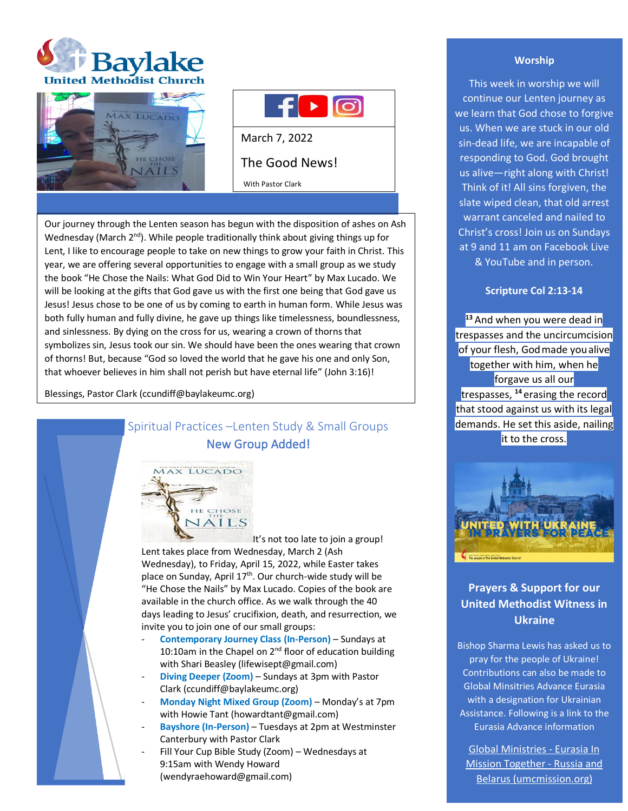





With Pastor Clark

Our journey through the Lenten season has begun with the disposition of ashes on Ash Wednesday (March  $2^{nd}$ ). While people traditionally think about giving things up for Lent, I like to encourage people to take on new things to grow your faith in Christ. This year, we are offering several opportunities to engage with a small group as we study the book "He Chose the Nails: What God Did to Win Your Heart" by Max Lucado. We will be looking at the gifts that God gave us with the first one being that God gave us Jesus! Jesus chose to be one of us by coming to earth in human form. While Jesus was both fully human and fully divine, he gave up things like timelessness, boundlessness, and sinlessness. By dying on the cross for us, wearing a crown of thorns that symbolizes sin, Jesus took our sin. We should have been the ones wearing that crown of thorns! But, because "God so loved the world that he gave his one and only Son, that whoever believes in him shall not perish but have eternal life" (John 3:16)!

Blessings, Pastor Clark (ccundiff@baylakeumc.org)

# Spiritual Practices –Lenten Study & Small Groups New Group Added!



It's not too late to join a group! Lent takes place from Wednesday, March 2 (Ash Wednesday), to Friday, April 15, 2022, while Easter takes place on Sunday, April 17<sup>th</sup>. Our church-wide study will be "He Chose the Nails" by Max Lucado. Copies of the book are available in the church office. As we walk through the 40 days leading to Jesus' crucifixion, death, and resurrection, we invite you to join one of our small groups:

- **Contemporary Journey Class (In-Person)** Sundays at 10:10am in the Chapel on  $2<sup>nd</sup>$  floor of education building with Shari Beasley (lifewisept@gmail.com)
- **Diving Deeper (Zoom)** Sundays at 3pm with Pastor Clark (ccundiff@baylakeumc.org)
- **Monday Night Mixed Group (Zoom)**  Monday's at 7pm with Howie Tant (howardtant@gmail.com)
- **Bayshore (In-Person)** Tuesdays at 2pm at Westminster Canterbury with Pastor Clark
- Fill Your Cup Bible Study (Zoom) Wednesdays at 9:15am with Wendy Howard (wendyraehoward@gmail.com)

# **Worship**

This week in worship we will continue our Lenten journey as we learn that God chose to forgive us. When we are stuck in our old sin-dead life, we are incapable of responding to God. God brought us alive—right along with Christ! Think of it! All sins forgiven, the slate wiped clean, that old arrest warrant canceled and nailed to Christ's cross! Join us on Sundays at 9 and 11 am on Facebook Live & YouTube and in person.

## **Scripture Col 2:13-14**

**<sup>13</sup>** And when you were dead in trespasses and the uncircumcision of your flesh, Godmade youalive together with him, when he forgave us all our trespasses, **<sup>14</sup>** erasing the record that stood against us with its legal demands. He set this aside, nailing it to the cross.



# **Prayers & Support for our United Methodist Witness in Ukraine**

Bishop Sharma Lewis has asked us to pray for the people of Ukraine! Contributions can also be made to Global Minsitries Advance Eurasia with a designation for Ukrainian Assistance. Following is a link to the Eurasia Advance information

[Global Ministries -](https://advance.umcmission.org/p-191-eurasia-in-mission-together-russia-and-belarus.aspx) Eurasia In [Mission Together -](https://advance.umcmission.org/p-191-eurasia-in-mission-together-russia-and-belarus.aspx) Russia and [Belarus \(umcmission.org\)](https://advance.umcmission.org/p-191-eurasia-in-mission-together-russia-and-belarus.aspx)